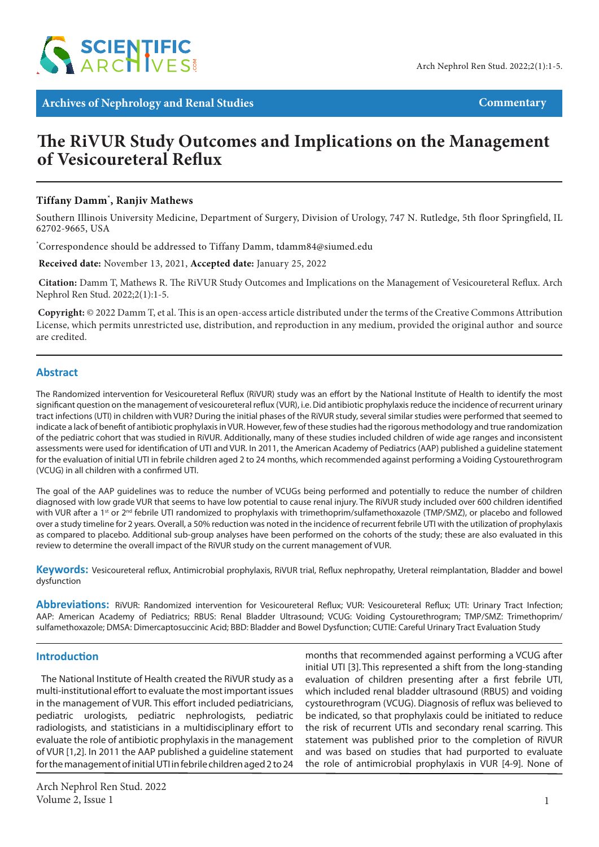

**Archives of Nephrology and Renal Studies Commentary** Commentary

# **The RiVUR Study Outcomes and Implications on the Management of Vesicoureteral Reflux**

# **Tiffany Damm\* , Ranjiv Mathews**

Southern Illinois University Medicine, Department of Surgery, Division of Urology, 747 N. Rutledge, 5th floor Springfield, IL 62702-9665, USA

\* Correspondence should be addressed to Tiffany Damm, tdamm84@siumed.edu

 **Received date:** November 13, 2021, **Accepted date:** January 25, 2022

 **Citation:** Damm T, Mathews R. The RiVUR Study Outcomes and Implications on the Management of Vesicoureteral Reflux. Arch Nephrol Ren Stud. 2022;2(1):1-5.

 **Copyright:** © 2022 Damm T, et al. This is an open-access article distributed under the terms of the Creative Commons Attribution License, which permits unrestricted use, distribution, and reproduction in any medium, provided the original author and source are credited.

## **Abstract**

The Randomized intervention for Vesicoureteral Reflux (RiVUR) study was an effort by the National Institute of Health to identify the most significant question on the management of vesicoureteral reflux (VUR), i.e. Did antibiotic prophylaxis reduce the incidence of recurrent urinary tract infections (UTI) in children with VUR? During the initial phases of the RiVUR study, several similar studies were performed that seemed to indicate a lack of benefit of antibiotic prophylaxis in VUR. However, few of these studies had the rigorous methodology and true randomization of the pediatric cohort that was studied in RiVUR. Additionally, many of these studies included children of wide age ranges and inconsistent assessments were used for identification of UTI and VUR. In 2011, the American Academy of Pediatrics (AAP) published a guideline statement for the evaluation of initial UTI in febrile children aged 2 to 24 months, which recommended against performing a Voiding Cystourethrogram (VCUG) in all children with a confirmed UTI.

The goal of the AAP guidelines was to reduce the number of VCUGs being performed and potentially to reduce the number of children diagnosed with low grade VUR that seems to have low potential to cause renal injury. The RiVUR study included over 600 children identified with VUR after a 1<sup>st</sup> or 2<sup>nd</sup> febrile UTI randomized to prophylaxis with trimethoprim/sulfamethoxazole (TMP/SMZ), or placebo and followed over a study timeline for 2 years. Overall, a 50% reduction was noted in the incidence of recurrent febrile UTI with the utilization of prophylaxis as compared to placebo. Additional sub-group analyses have been performed on the cohorts of the study; these are also evaluated in this review to determine the overall impact of the RiVUR study on the current management of VUR.

**Keywords:** Vesicoureteral reflux, Antimicrobial prophylaxis, RiVUR trial, Reflux nephropathy, Ureteral reimplantation, Bladder and bowel dysfunction

**Abbreviations:** RiVUR: Randomized intervention for Vesicoureteral Reflux; VUR: Vesicoureteral Reflux; UTI: Urinary Tract Infection; AAP: American Academy of Pediatrics; RBUS: Renal Bladder Ultrasound; VCUG: Voiding Cystourethrogram; TMP/SMZ: Trimethoprim/ sulfamethoxazole; DMSA: Dimercaptosuccinic Acid; BBD: Bladder and Bowel Dysfunction; CUTIE: Careful Urinary Tract Evaluation Study

### **Introduction**

The National Institute of Health created the RiVUR study as a multi-institutional effort to evaluate the most important issues in the management of VUR. This effort included pediatricians, pediatric urologists, pediatric nephrologists, pediatric radiologists, and statisticians in a multidisciplinary effort to evaluate the role of antibiotic prophylaxis in the management of VUR [1,2]. In 2011 the AAP published a guideline statement for the management of initial UTI in febrile children aged 2 to 24

months that recommended against performing a VCUG after initial UTI [3]. This represented a shift from the long-standing evaluation of children presenting after a first febrile UTI, which included renal bladder ultrasound (RBUS) and voiding cystourethrogram (VCUG). Diagnosis of reflux was believed to be indicated, so that prophylaxis could be initiated to reduce the risk of recurrent UTIs and secondary renal scarring. This statement was published prior to the completion of RiVUR and was based on studies that had purported to evaluate the role of antimicrobial prophylaxis in VUR [4-9]. None of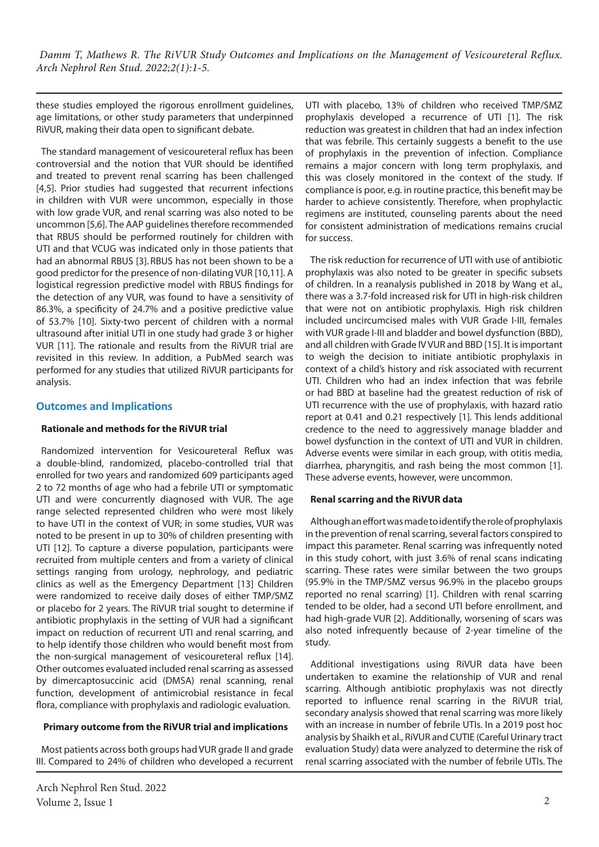these studies employed the rigorous enrollment guidelines, age limitations, or other study parameters that underpinned RiVUR, making their data open to significant debate.

The standard management of vesicoureteral reflux has been controversial and the notion that VUR should be identified and treated to prevent renal scarring has been challenged [4,5]. Prior studies had suggested that recurrent infections in children with VUR were uncommon, especially in those with low grade VUR, and renal scarring was also noted to be uncommon [5,6]. The AAP guidelines therefore recommended that RBUS should be performed routinely for children with UTI and that VCUG was indicated only in those patients that had an abnormal RBUS [3]. RBUS has not been shown to be a good predictor for the presence of non-dilating VUR [10,11]. A logistical regression predictive model with RBUS findings for the detection of any VUR, was found to have a sensitivity of 86.3%, a specificity of 24.7% and a positive predictive value of 53.7% [10]. Sixty-two percent of children with a normal ultrasound after initial UTI in one study had grade 3 or higher VUR [11]. The rationale and results from the RiVUR trial are revisited in this review. In addition, a PubMed search was performed for any studies that utilized RiVUR participants for analysis.

# **Outcomes and Implications**

#### **Rationale and methods for the RiVUR trial**

Randomized intervention for Vesicoureteral Reflux was a double-blind, randomized, placebo-controlled trial that enrolled for two years and randomized 609 participants aged 2 to 72 months of age who had a febrile UTI or symptomatic UTI and were concurrently diagnosed with VUR. The age range selected represented children who were most likely to have UTI in the context of VUR; in some studies, VUR was noted to be present in up to 30% of children presenting with UTI [12]. To capture a diverse population, participants were recruited from multiple centers and from a variety of clinical settings ranging from urology, nephrology, and pediatric clinics as well as the Emergency Department [13] Children were randomized to receive daily doses of either TMP/SMZ or placebo for 2 years. The RiVUR trial sought to determine if antibiotic prophylaxis in the setting of VUR had a significant impact on reduction of recurrent UTI and renal scarring, and to help identify those children who would benefit most from the non-surgical management of vesicoureteral reflux [14]. Other outcomes evaluated included renal scarring as assessed by dimercaptosuccinic acid (DMSA) renal scanning, renal function, development of antimicrobial resistance in fecal flora, compliance with prophylaxis and radiologic evaluation.

### **Primary outcome from the RiVUR trial and implications**

Most patients across both groups had VUR grade II and grade III. Compared to 24% of children who developed a recurrent UTI with placebo, 13% of children who received TMP/SMZ prophylaxis developed a recurrence of UTI [1]. The risk reduction was greatest in children that had an index infection that was febrile. This certainly suggests a benefit to the use of prophylaxis in the prevention of infection. Compliance remains a major concern with long term prophylaxis, and this was closely monitored in the context of the study. If compliance is poor, e.g. in routine practice, this benefit may be harder to achieve consistently. Therefore, when prophylactic regimens are instituted, counseling parents about the need for consistent administration of medications remains crucial for success.

The risk reduction for recurrence of UTI with use of antibiotic prophylaxis was also noted to be greater in specific subsets of children. In a reanalysis published in 2018 by Wang et al., there was a 3.7-fold increased risk for UTI in high-risk children that were not on antibiotic prophylaxis. High risk children included uncircumcised males with VUR Grade I-III, females with VUR grade I-III and bladder and bowel dysfunction (BBD), and all children with Grade IV VUR and BBD [15]. It is important to weigh the decision to initiate antibiotic prophylaxis in context of a child's history and risk associated with recurrent UTI. Children who had an index infection that was febrile or had BBD at baseline had the greatest reduction of risk of UTI recurrence with the use of prophylaxis, with hazard ratio report at 0.41 and 0.21 respectively [1]*.* This lends additional credence to the need to aggressively manage bladder and bowel dysfunction in the context of UTI and VUR in children. Adverse events were similar in each group, with otitis media, diarrhea, pharyngitis, and rash being the most common [1]. These adverse events, however, were uncommon.

#### **Renal scarring and the RiVUR data**

Although an effort was made to identify the role of prophylaxis in the prevention of renal scarring, several factors conspired to impact this parameter. Renal scarring was infrequently noted in this study cohort, with just 3.6% of renal scans indicating scarring. These rates were similar between the two groups (95.9% in the TMP/SMZ versus 96.9% in the placebo groups reported no renal scarring) [1]. Children with renal scarring tended to be older, had a second UTI before enrollment, and had high-grade VUR [2]. Additionally, worsening of scars was also noted infrequently because of 2-year timeline of the study.

Additional investigations using RiVUR data have been undertaken to examine the relationship of VUR and renal scarring. Although antibiotic prophylaxis was not directly reported to influence renal scarring in the RiVUR trial, secondary analysis showed that renal scarring was more likely with an increase in number of febrile UTIs. In a 2019 post hoc analysis by Shaikh et al., RiVUR and CUTIE (Careful Urinary tract evaluation Study) data were analyzed to determine the risk of renal scarring associated with the number of febrile UTIs. The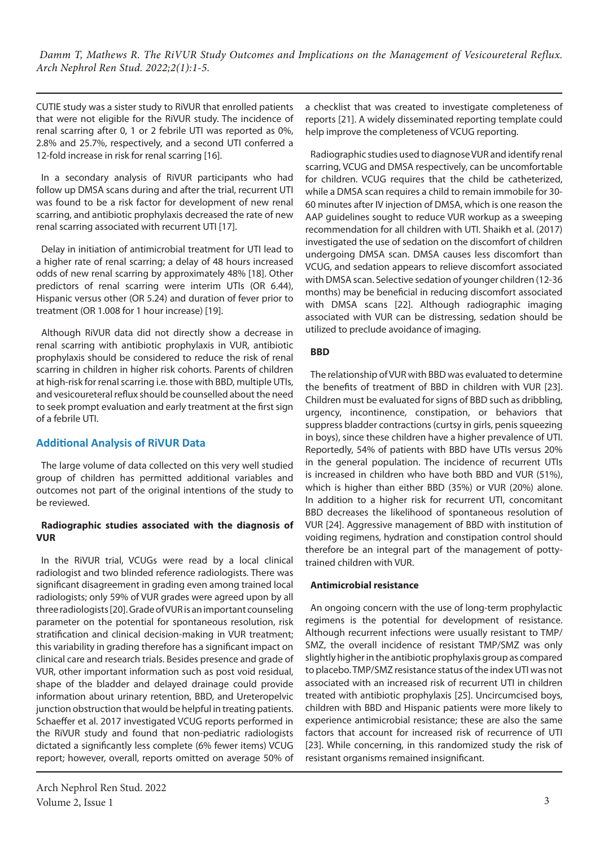CUTIE study was a sister study to RiVUR that enrolled patients that were not eligible for the RiVUR study. The incidence of renal scarring after 0, 1 or 2 febrile UTI was reported as 0%, 2.8% and 25.7%, respectively, and a second UTI conferred a 12-fold increase in risk for renal scarring [16].

In a secondary analysis of RiVUR participants who had follow up DMSA scans during and after the trial, recurrent UTI was found to be a risk factor for development of new renal scarring, and antibiotic prophylaxis decreased the rate of new renal scarring associated with recurrent UTI [17].

Delay in initiation of antimicrobial treatment for UTI lead to a higher rate of renal scarring; a delay of 48 hours increased odds of new renal scarring by approximately 48% [18]. Other predictors of renal scarring were interim UTIs (OR 6.44), Hispanic versus other (OR 5.24) and duration of fever prior to treatment (OR 1.008 for 1 hour increase) [19].

Although RiVUR data did not directly show a decrease in renal scarring with antibiotic prophylaxis in VUR, antibiotic prophylaxis should be considered to reduce the risk of renal scarring in children in higher risk cohorts. Parents of children at high-risk for renal scarring i.e. those with BBD, multiple UTIs, and vesicoureteral reflux should be counselled about the need to seek prompt evaluation and early treatment at the first sign of a febrile UTI.

# **Additional Analysis of RiVUR Data**

The large volume of data collected on this very well studied group of children has permitted additional variables and outcomes not part of the original intentions of the study to be reviewed.

### **Radiographic studies associated with the diagnosis of VUR**

In the RiVUR trial, VCUGs were read by a local clinical radiologist and two blinded reference radiologists. There was significant disagreement in grading even among trained local radiologists; only 59% of VUR grades were agreed upon by all three radiologists [20]. Grade of VUR is an important counseling parameter on the potential for spontaneous resolution, risk stratification and clinical decision-making in VUR treatment; this variability in grading therefore has a significant impact on clinical care and research trials. Besides presence and grade of VUR, other important information such as post void residual, shape of the bladder and delayed drainage could provide information about urinary retention, BBD, and Ureteropelvic junction obstruction that would be helpful in treating patients. Schaeffer et al. 2017 investigated VCUG reports performed in the RiVUR study and found that non-pediatric radiologists dictated a significantly less complete (6% fewer items) VCUG report; however, overall, reports omitted on average 50% of a checklist that was created to investigate completeness of reports [21]. A widely disseminated reporting template could help improve the completeness of VCUG reporting.

Radiographic studies used to diagnose VUR and identify renal scarring, VCUG and DMSA respectively, can be uncomfortable for children. VCUG requires that the child be catheterized, while a DMSA scan requires a child to remain immobile for 30- 60 minutes after IV injection of DMSA, which is one reason the AAP guidelines sought to reduce VUR workup as a sweeping recommendation for all children with UTI. Shaikh et al. (2017) investigated the use of sedation on the discomfort of children undergoing DMSA scan. DMSA causes less discomfort than VCUG, and sedation appears to relieve discomfort associated with DMSA scan. Selective sedation of younger children (12-36 months) may be beneficial in reducing discomfort associated with DMSA scans [22]. Although radiographic imaging associated with VUR can be distressing, sedation should be utilized to preclude avoidance of imaging.

## **BBD**

The relationship of VUR with BBD was evaluated to determine the benefits of treatment of BBD in children with VUR [23]. Children must be evaluated for signs of BBD such as dribbling, urgency, incontinence, constipation, or behaviors that suppress bladder contractions (curtsy in girls, penis squeezing in boys), since these children have a higher prevalence of UTI. Reportedly, 54% of patients with BBD have UTIs versus 20% in the general population. The incidence of recurrent UTIs is increased in children who have both BBD and VUR (51%), which is higher than either BBD (35%) or VUR (20%) alone. In addition to a higher risk for recurrent UTI, concomitant BBD decreases the likelihood of spontaneous resolution of VUR [24]. Aggressive management of BBD with institution of voiding regimens, hydration and constipation control should therefore be an integral part of the management of pottytrained children with VUR.

### **Antimicrobial resistance**

An ongoing concern with the use of long-term prophylactic regimens is the potential for development of resistance. Although recurrent infections were usually resistant to TMP/ SMZ, the overall incidence of resistant TMP/SMZ was only slightly higher in the antibiotic prophylaxis group as compared to placebo. TMP/SMZ resistance status of the index UTI was not associated with an increased risk of recurrent UTI in children treated with antibiotic prophylaxis [25]. Uncircumcised boys, children with BBD and Hispanic patients were more likely to experience antimicrobial resistance; these are also the same factors that account for increased risk of recurrence of UTI [23]. While concerning, in this randomized study the risk of resistant organisms remained insignificant.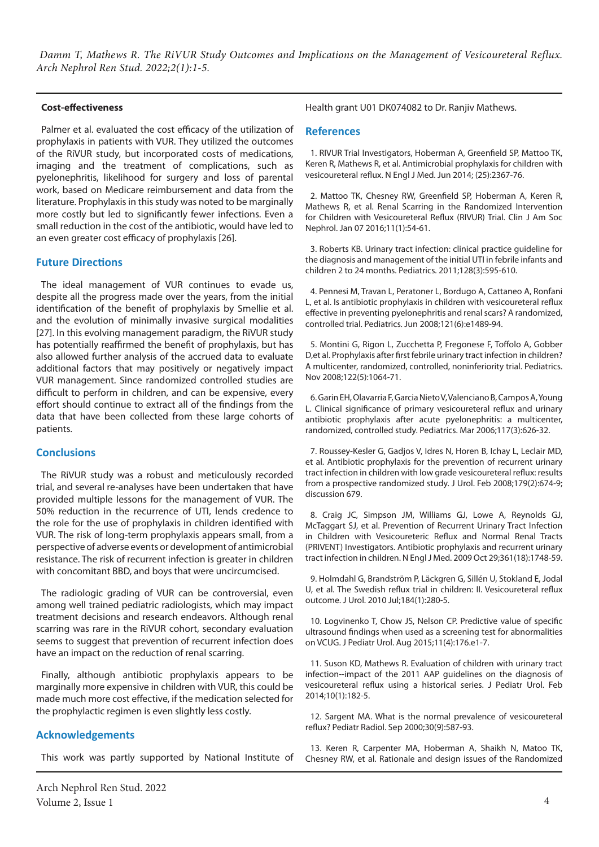#### **Cost-effectiveness**

Palmer et al. evaluated the cost efficacy of the utilization of prophylaxis in patients with VUR. They utilized the outcomes of the RiVUR study, but incorporated costs of medications, imaging and the treatment of complications, such as pyelonephritis, likelihood for surgery and loss of parental work, based on Medicare reimbursement and data from the literature. Prophylaxis in this study was noted to be marginally more costly but led to significantly fewer infections. Even a small reduction in the cost of the antibiotic, would have led to an even greater cost efficacy of prophylaxis [26].

### **Future Directions**

The ideal management of VUR continues to evade us, despite all the progress made over the years, from the initial identification of the benefit of prophylaxis by Smellie et al. and the evolution of minimally invasive surgical modalities [27]. In this evolving management paradigm, the RiVUR study has potentially reaffirmed the benefit of prophylaxis, but has also allowed further analysis of the accrued data to evaluate additional factors that may positively or negatively impact VUR management. Since randomized controlled studies are difficult to perform in children, and can be expensive, every effort should continue to extract all of the findings from the data that have been collected from these large cohorts of patients.

### **Conclusions**

The RiVUR study was a robust and meticulously recorded trial, and several re-analyses have been undertaken that have provided multiple lessons for the management of VUR. The 50% reduction in the recurrence of UTI, lends credence to the role for the use of prophylaxis in children identified with VUR. The risk of long-term prophylaxis appears small, from a perspective of adverse events or development of antimicrobial resistance. The risk of recurrent infection is greater in children with concomitant BBD, and boys that were uncircumcised.

The radiologic grading of VUR can be controversial, even among well trained pediatric radiologists, which may impact treatment decisions and research endeavors. Although renal scarring was rare in the RiVUR cohort, secondary evaluation seems to suggest that prevention of recurrent infection does have an impact on the reduction of renal scarring.

Finally, although antibiotic prophylaxis appears to be marginally more expensive in children with VUR, this could be made much more cost effective, if the medication selected for the prophylactic regimen is even slightly less costly.

# **Acknowledgements**

This work was partly supported by National Institute of

Health grant U01 DK074082 to Dr. Ranjiv Mathews.

#### **References**

1. RIVUR Trial Investigators, Hoberman A, Greenfield SP, Mattoo TK, Keren R, Mathews R, et al. Antimicrobial prophylaxis for children with vesicoureteral reflux. N Engl J Med. Jun 2014; (25):2367-76.

2. Mattoo TK, Chesney RW, Greenfield SP, Hoberman A, Keren R, Mathews R, et al. Renal Scarring in the Randomized Intervention for Children with Vesicoureteral Reflux (RIVUR) Trial. Clin J Am Soc Nephrol. Jan 07 2016;11(1):54-61.

3. Roberts KB. Urinary tract infection: clinical practice guideline for the diagnosis and management of the initial UTI in febrile infants and children 2 to 24 months. Pediatrics. 2011;128(3):595-610.

4. Pennesi M, Travan L, Peratoner L, Bordugo A, Cattaneo A, Ronfani L, et al. Is antibiotic prophylaxis in children with vesicoureteral reflux effective in preventing pyelonephritis and renal scars? A randomized, controlled trial. Pediatrics. Jun 2008;121(6):e1489-94.

5. Montini G, Rigon L, Zucchetta P, Fregonese F, Toffolo A, Gobber D,et al. Prophylaxis after first febrile urinary tract infection in children? A multicenter, randomized, controlled, noninferiority trial. Pediatrics. Nov 2008;122(5):1064-71.

6. Garin EH, Olavarria F, Garcia Nieto V, Valenciano B, Campos A, Young L. Clinical significance of primary vesicoureteral reflux and urinary antibiotic prophylaxis after acute pyelonephritis: a multicenter, randomized, controlled study. Pediatrics. Mar 2006;117(3):626-32.

7. Roussey-Kesler G, Gadjos V, Idres N, Horen B, Ichay L, Leclair MD, et al. Antibiotic prophylaxis for the prevention of recurrent urinary tract infection in children with low grade vesicoureteral reflux: results from a prospective randomized study. J Urol. Feb 2008;179(2):674-9; discussion 679.

8. Craig JC, Simpson JM, Williams GJ, Lowe A, Reynolds GJ, McTaggart SJ, et al. Prevention of Recurrent Urinary Tract Infection in Children with Vesicoureteric Reflux and Normal Renal Tracts (PRIVENT) Investigators. Antibiotic prophylaxis and recurrent urinary tract infection in children. N Engl J Med. 2009 Oct 29;361(18):1748-59.

9. Holmdahl G, Brandström P, Läckgren G, Sillén U, Stokland E, Jodal U, et al. The Swedish reflux trial in children: II. Vesicoureteral reflux outcome. J Urol. 2010 Jul;184(1):280-5.

10. Logvinenko T, Chow JS, Nelson CP. Predictive value of specific ultrasound findings when used as a screening test for abnormalities on VCUG. J Pediatr Urol. Aug 2015;11(4):176.e1-7.

11. Suson KD, Mathews R. Evaluation of children with urinary tract infection--impact of the 2011 AAP guidelines on the diagnosis of vesicoureteral reflux using a historical series. J Pediatr Urol. Feb 2014;10(1):182-5.

12. Sargent MA. What is the normal prevalence of vesicoureteral reflux? Pediatr Radiol. Sep 2000;30(9):587-93.

13. Keren R, Carpenter MA, Hoberman A, Shaikh N, Matoo TK, Chesney RW, et al. Rationale and design issues of the Randomized